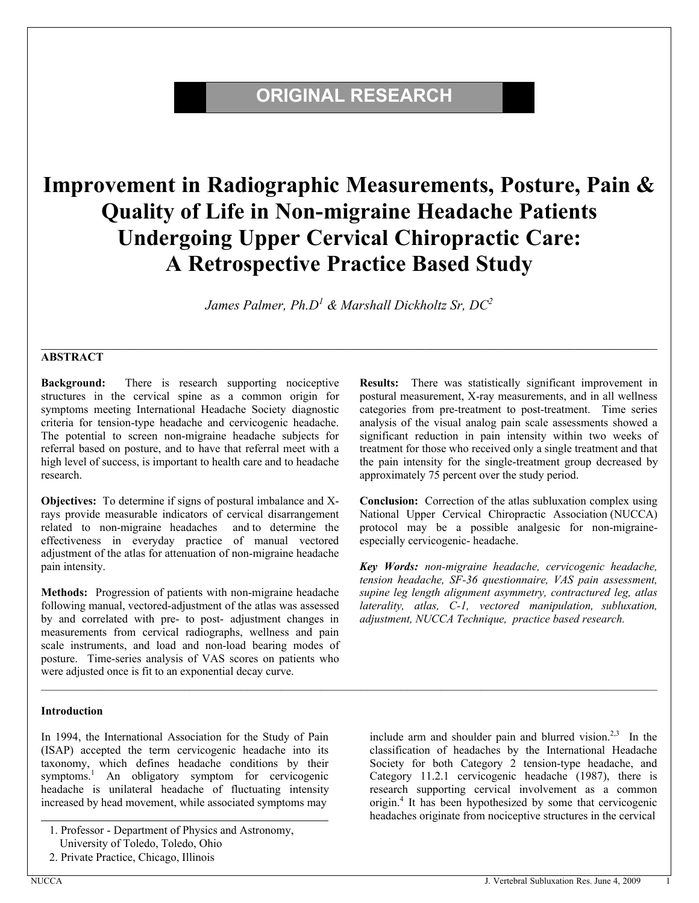# **ORIGINAL RESEARCH**

# **Improvement in Radiographic Measurements, Posture, Pain & Quality of Life in Non-migraine Headache Patients Undergoing Upper Cervical Chiropractic Care: A Retrospective Practice Based Study**

*James Palmer, Ph.D<sup>1</sup> & Marshall Dickholtz Sr, DC<sup>2</sup>*

 $\mathcal{L}_\mathcal{L} = \mathcal{L}_\mathcal{L} = \mathcal{L}_\mathcal{L} = \mathcal{L}_\mathcal{L} = \mathcal{L}_\mathcal{L} = \mathcal{L}_\mathcal{L} = \mathcal{L}_\mathcal{L} = \mathcal{L}_\mathcal{L} = \mathcal{L}_\mathcal{L} = \mathcal{L}_\mathcal{L} = \mathcal{L}_\mathcal{L} = \mathcal{L}_\mathcal{L} = \mathcal{L}_\mathcal{L} = \mathcal{L}_\mathcal{L} = \mathcal{L}_\mathcal{L} = \mathcal{L}_\mathcal{L} = \mathcal{L}_\mathcal{L}$ 

 $\mathcal{L}_\mathcal{L} = \{ \mathcal{L}_\mathcal{L} = \{ \mathcal{L}_\mathcal{L} = \{ \mathcal{L}_\mathcal{L} = \{ \mathcal{L}_\mathcal{L} = \{ \mathcal{L}_\mathcal{L} = \{ \mathcal{L}_\mathcal{L} = \{ \mathcal{L}_\mathcal{L} = \{ \mathcal{L}_\mathcal{L} = \{ \mathcal{L}_\mathcal{L} = \{ \mathcal{L}_\mathcal{L} = \{ \mathcal{L}_\mathcal{L} = \{ \mathcal{L}_\mathcal{L} = \{ \mathcal{L}_\mathcal{L} = \{ \mathcal{L}_\mathcal{$ 

#### **ABSTRACT**

**Background:** There is research supporting nociceptive structures in the cervical spine as a common origin for symptoms meeting International Headache Society diagnostic criteria for tension-type headache and cervicogenic headache. The potential to screen non-migraine headache subjects for referral based on posture, and to have that referral meet with a high level of success, is important to health care and to headache research.

**Objectives:** To determine if signs of postural imbalance and Xrays provide measurable indicators of cervical disarrangement related to non-migraine headaches and to determine the effectiveness in everyday practice of manual vectored adjustment of the atlas for attenuation of non-migraine headache pain intensity.

**Methods:** Progression of patients with non-migraine headache following manual, vectored-adjustment of the atlas was assessed by and correlated with pre- to post- adjustment changes in measurements from cervical radiographs, wellness and pain scale instruments, and load and non-load bearing modes of posture. Time-series analysis of VAS scores on patients who were adjusted once is fit to an exponential decay curve.

#### **Introduction**

In 1994, the International Association for the Study of Pain (ISAP) accepted the term cervicogenic headache into its taxonomy, which defines headache conditions by their symptoms.<sup>1</sup> An obligatory symptom for cervicogenic headache is unilateral headache of fluctuating intensity increased by head movement, while associated symptoms may

**Results:** There was statistically significant improvement in postural measurement, X-ray measurements, and in all wellness categories from pre-treatment to post-treatment. Time series analysis of the visual analog pain scale assessments showed a significant reduction in pain intensity within two weeks of treatment for those who received only a single treatment and that the pain intensity for the single-treatment group decreased by approximately 75 percent over the study period.

**Conclusion:** Correction of the atlas subluxation complex using National Upper Cervical Chiropractic Association (NUCCA) protocol may be a possible analgesic for non-migraineespecially cervicogenic- headache.

*Key Words: non-migraine headache, cervicogenic headache, tension headache, SF-36 questionnaire, VAS pain assessment, supine leg length alignment asymmetry, contractured leg, atlas laterality, atlas, C-1, vectored manipulation, subluxation, adjustment, NUCCA Technique, practice based research.*

include arm and shoulder pain and blurred vision.<sup>2,3</sup> In the classification of headaches by the International Headache Society for both Category 2 tension-type headache, and Category 11.2.1 cervicogenic headache (1987), there is research supporting cervical involvement as a common origin.<sup>4</sup> It has been hypothesized by some that cervicogenic headaches originate from nociceptive structures in the cervical

<sup>1.</sup> Professor - Department of Physics and Astronomy, University of Toledo, Toledo, Ohio

<sup>2.</sup> Private Practice, Chicago, Illinois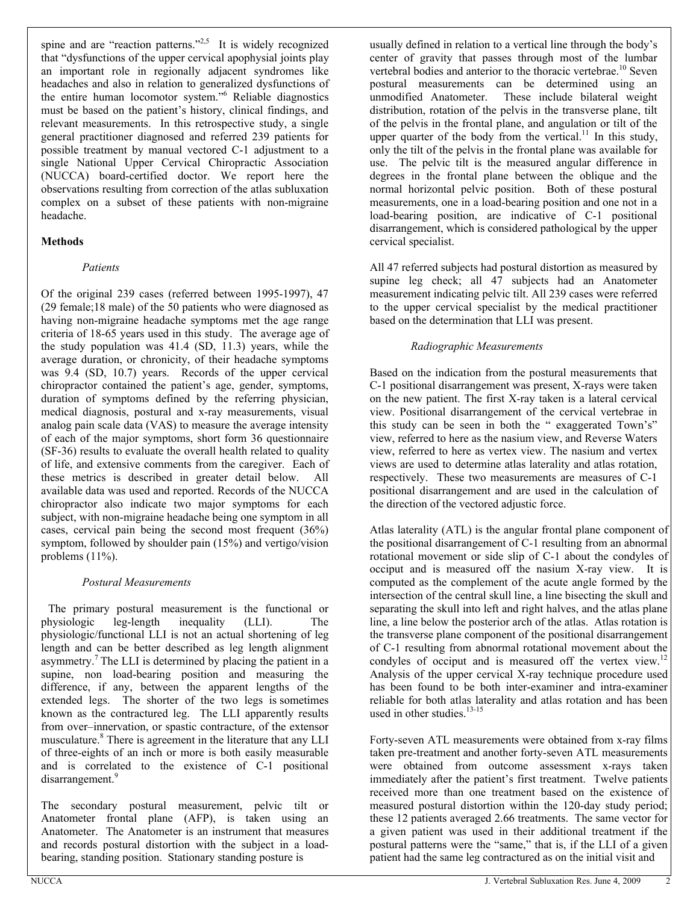spine and are "reaction patterns."<sup>2,5</sup> It is widely recognized that "dysfunctions of the upper cervical apophysial joints play an important role in regionally adjacent syndromes like headaches and also in relation to generalized dysfunctions of the entire human locomotor system."<sup>6</sup> Reliable diagnostics must be based on the patient's history, clinical findings, and relevant measurements. In this retrospective study, a single general practitioner diagnosed and referred 239 patients for possible treatment by manual vectored C-1 adjustment to a single National Upper Cervical Chiropractic Association (NUCCA) board-certified doctor. We report here the observations resulting from correction of the atlas subluxation complex on a subset of these patients with non-migraine headache.

#### **Methods**

#### *Patients*

Of the original 239 cases (referred between 1995-1997), 47 (29 female;18 male) of the 50 patients who were diagnosed as having non-migraine headache symptoms met the age range criteria of 18-65 years used in this study. The average age of the study population was 41.4 (SD, 11.3) years, while the average duration, or chronicity, of their headache symptoms was 9.4 (SD, 10.7) years. Records of the upper cervical chiropractor contained the patient's age, gender, symptoms, duration of symptoms defined by the referring physician, medical diagnosis, postural and x-ray measurements, visual analog pain scale data (VAS) to measure the average intensity of each of the major symptoms, short form 36 questionnaire (SF-36) results to evaluate the overall health related to quality of life, and extensive comments from the caregiver. Each of these metrics is described in greater detail below. All available data was used and reported. Records of the NUCCA chiropractor also indicate two major symptoms for each subject, with non-migraine headache being one symptom in all cases, cervical pain being the second most frequent (36%) symptom, followed by shoulder pain (15%) and vertigo/vision problems  $(11\%)$ .

#### *Postural Measurements*

 The primary postural measurement is the functional or physiologic leg-length inequality (LLI). The physiologic/functional LLI is not an actual shortening of leg length and can be better described as leg length alignment asymmetry.<sup>7</sup> The LLI is determined by placing the patient in a supine, non load-bearing position and measuring the difference, if any, between the apparent lengths of the extended legs. The shorter of the two legs is sometimes known as the contractured leg. The LLI apparently results from over-innervation, or spastic contracture, of the extensor musculature.<sup>8</sup> There is agreement in the literature that any LLI of three-eights of an inch or more is both easily measurable and is correlated to the existence of C-1 positional disarrangement.<sup>9</sup>

The secondary postural measurement, pelvic tilt or Anatometer frontal plane (AFP), is taken using an Anatometer. The Anatometer is an instrument that measures and records postural distortion with the subject in a loadbearing, standing position. Stationary standing posture is

usually defined in relation to a vertical line through the body's center of gravity that passes through most of the lumbar vertebral bodies and anterior to the thoracic vertebrae.<sup>10</sup> Seven postural measurements can be determined using an unmodified Anatometer. These include bilateral weight distribution, rotation of the pelvis in the transverse plane, tilt of the pelvis in the frontal plane, and angulation or tilt of the upper quarter of the body from the vertical.<sup>11</sup> In this study, only the tilt of the pelvis in the frontal plane was available for use. The pelvic tilt is the measured angular difference in degrees in the frontal plane between the oblique and the normal horizontal pelvic position. Both of these postural measurements, one in a load-bearing position and one not in a load-bearing position, are indicative of C-1 positional disarrangement, which is considered pathological by the upper cervical specialist.

All 47 referred subjects had postural distortion as measured by supine leg check; all 47 subjects had an Anatometer measurement indicating pelvic tilt. All 239 cases were referred to the upper cervical specialist by the medical practitioner based on the determination that LLI was present.

#### *Radiographic Measurements*

Based on the indication from the postural measurements that C-1 positional disarrangement was present, X-rays were taken on the new patient. The first X-ray taken is a lateral cervical view. Positional disarrangement of the cervical vertebrae in this study can be seen in both the "exaggerated Town's" view, referred to here as the nasium view, and Reverse Waters view, referred to here as vertex view. The nasium and vertex views are used to determine atlas laterality and atlas rotation, respectively. These two measurements are measures of C-1 positional disarrangement and are used in the calculation of the direction of the vectored adjustic force.

Atlas laterality (ATL) is the angular frontal plane component of the positional disarrangement of C-1 resulting from an abnormal rotational movement or side slip of C-1 about the condyles of occiput and is measured off the nasium X-ray view. It is computed as the complement of the acute angle formed by the intersection of the central skull line, a line bisecting the skull and separating the skull into left and right halves, and the atlas plane line, a line below the posterior arch of the atlas. Atlas rotation is the transverse plane component of the positional disarrangement of C-1 resulting from abnormal rotational movement about the condyles of occiput and is measured off the vertex view.<sup>12</sup> Analysis of the upper cervical X-ray technique procedure used has been found to be both inter-examiner and intra-examiner reliable for both atlas laterality and atlas rotation and has been used in other studies.<sup>13-15</sup>

Forty-seven ATL measurements were obtained from x-ray films taken pre-treatment and another forty-seven ATL measurements were obtained from outcome assessment x-rays taken immediately after the patient's first treatment. Twelve patients received more than one treatment based on the existence of measured postural distortion within the 120-day study period; these 12 patients averaged 2.66 treatments. The same vector for a given patient was used in their additional treatment if the postural patterns were the "same," that is, if the LLI of a given patient had the same leg contractured as on the initial visit and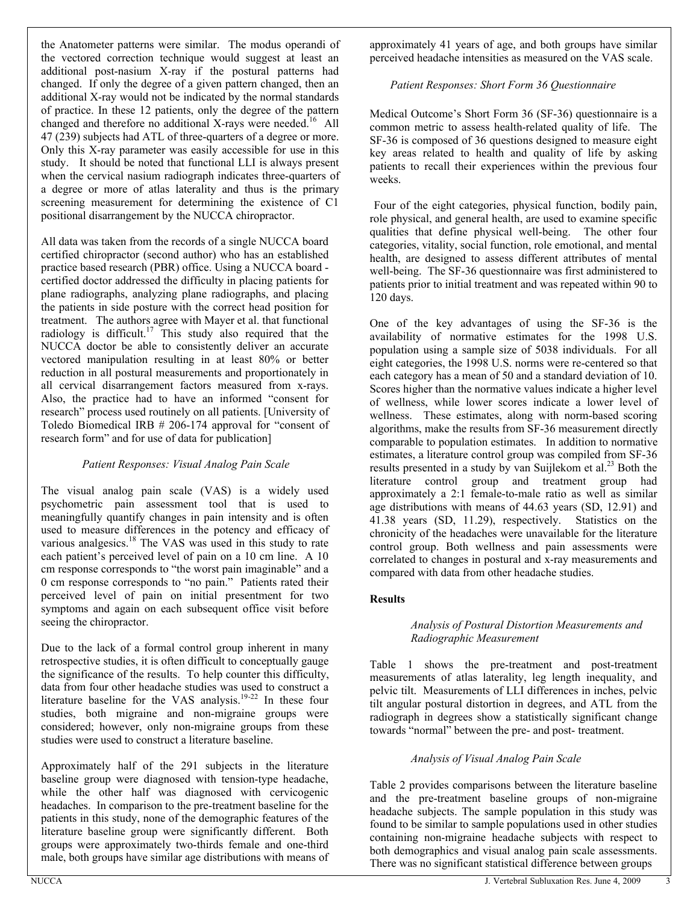the Anatometer patterns were similar. The modus operandi of the vectored correction technique would suggest at least an additional post-nasium X-ray if the postural patterns had changed. If only the degree of a given pattern changed, then an additional X-ray would not be indicated by the normal standards of practice. In these 12 patients, only the degree of the pattern changed and therefore no additional X-rays were needed.<sup>16</sup> All 47 (239) subjects had ATL of three-quarters of a degree or more. Only this X-ray parameter was easily accessible for use in this study. It should be noted that functional LLI is always present when the cervical nasium radiograph indicates three-quarters of a degree or more of atlas laterality and thus is the primary screening measurement for determining the existence of C1 positional disarrangement by the NUCCA chiropractor.

All data was taken from the records of a single NUCCA board certified chiropractor (second author) who has an established practice based research (PBR) office. Using a NUCCA board certified doctor addressed the difficulty in placing patients for plane radiographs, analyzing plane radiographs, and placing the patients in side posture with the correct head position for treatment. The authors agree with Mayer et al. that functional radiology is difficult.<sup>17</sup> This study also required that the NUCCA doctor be able to consistently deliver an accurate vectored manipulation resulting in at least 80% or better reduction in all postural measurements and proportionately in all cervical disarrangement factors measured from x-rays. Also, the practice had to have an informed "consent for research<sup>"</sup> process used routinely on all patients. [University of Toledo Biomedical IRB  $# 206-174$  approval for "consent of research form" and for use of data for publication]

#### *Patient Responses: Visual Analog Pain Scale*

The visual analog pain scale (VAS) is a widely used psychometric pain assessment tool that is used to meaningfully quantify changes in pain intensity and is often used to measure differences in the potency and efficacy of various analgesics.<sup>18</sup> The VAS was used in this study to rate each patient's perceived level of pain on a 10 cm line. A 10 cm response corresponds to "the worst pain imaginable" and a 0 cm response corresponds to "no pain." Patients rated their perceived level of pain on initial presentment for two symptoms and again on each subsequent office visit before seeing the chiropractor.

Due to the lack of a formal control group inherent in many retrospective studies, it is often difficult to conceptually gauge the significance of the results. To help counter this difficulty, data from four other headache studies was used to construct a literature baseline for the VAS analysis.<sup>19-22</sup> In these four studies, both migraine and non-migraine groups were considered; however, only non-migraine groups from these studies were used to construct a literature baseline.

Approximately half of the 291 subjects in the literature baseline group were diagnosed with tension-type headache, while the other half was diagnosed with cervicogenic headaches. In comparison to the pre-treatment baseline for the patients in this study, none of the demographic features of the literature baseline group were significantly different. Both groups were approximately two-thirds female and one-third male, both groups have similar age distributions with means of

approximately 41 years of age, and both groups have similar perceived headache intensities as measured on the VAS scale.

#### *Patient Responses: Short Form 36 Questionnaire*

Medical Outcome's Short Form 36 (SF-36) questionnaire is a common metric to assess health-related quality of life. The SF-36 is composed of 36 questions designed to measure eight key areas related to health and quality of life by asking patients to recall their experiences within the previous four weeks.

 Four of the eight categories, physical function, bodily pain, role physical, and general health, are used to examine specific qualities that define physical well-being. The other four categories, vitality, social function, role emotional, and mental health, are designed to assess different attributes of mental well-being. The SF-36 questionnaire was first administered to patients prior to initial treatment and was repeated within 90 to 120 days.

One of the key advantages of using the SF-36 is the availability of normative estimates for the 1998 U.S. population using a sample size of 5038 individuals. For all eight categories, the 1998 U.S. norms were re-centered so that each category has a mean of 50 and a standard deviation of 10. Scores higher than the normative values indicate a higher level of wellness, while lower scores indicate a lower level of wellness.These estimates, along with norm-based scoring algorithms, make the results from SF-36 measurement directly comparable to population estimates. In addition to normative estimates, a literature control group was compiled from SF-36 results presented in a study by van Suijlekom et al. $^{23}$  Both the literature control group and treatment group had approximately a 2:1 female-to-male ratio as well as similar age distributions with means of 44.63 years (SD, 12.91) and 41.38 years (SD, 11.29), respectively. Statistics on the chronicity of the headaches were unavailable for the literature control group. Both wellness and pain assessments were correlated to changes in postural and x-ray measurements and compared with data from other headache studies.

#### **Results**

#### *Analysis of Postural Distortion Measurements and Radiographic Measurement*

Table 1 shows the pre-treatment and post-treatment measurements of atlas laterality, leg length inequality, and pelvic tilt. Measurements of LLI differences in inches, pelvic tilt angular postural distortion in degrees, and ATL from the radiograph in degrees show a statistically significant change towards "normal" between the pre- and post- treatment.

#### *Analysis of Visual Analog Pain Scale*

Table 2 provides comparisons between the literature baseline and the pre-treatment baseline groups of non-migraine headache subjects. The sample population in this study was found to be similar to sample populations used in other studies containing non-migraine headache subjects with respect to both demographics and visual analog pain scale assessments. There was no significant statistical difference between groups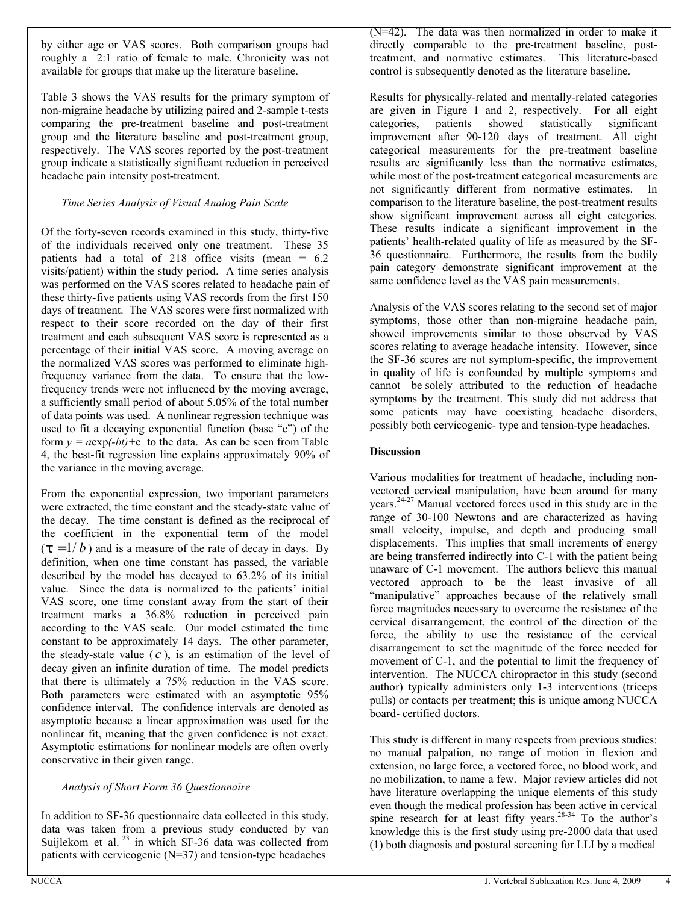by either age or VAS scores. Both comparison groups had roughly a 2:1 ratio of female to male. Chronicity was not available for groups that make up the literature baseline.

Table 3 shows the VAS results for the primary symptom of non-migraine headache by utilizing paired and 2-sample t-tests comparing the pre-treatment baseline and post-treatment group and the literature baseline and post-treatment group, respectively. The VAS scores reported by the post-treatment group indicate a statistically significant reduction in perceived headache pain intensity post-treatment.

#### *Time Series Analysis of Visual Analog Pain Scale*

Of the forty-seven records examined in this study, thirty-five of the individuals received only one treatment. These 35 patients had a total of 218 office visits (mean = 6.2 visits/patient) within the study period. A time series analysis was performed on the VAS scores related to headache pain of these thirty-five patients using VAS records from the first 150 days of treatment. The VAS scores were first normalized with respect to their score recorded on the day of their first treatment and each subsequent VAS score is represented as a percentage of their initial VAS score. A moving average on the normalized VAS scores was performed to eliminate highfrequency variance from the data. To ensure that the lowfrequency trends were not influenced by the moving average, a sufficiently small period of about 5.05% of the total number of data points was used. A nonlinear regression technique was used to fit a decaying exponential function (base "e") of the form  $y = a \exp(-bt) + c$  to the data. As can be seen from Table 4, the best-fit regression line explains approximately 90% of the variance in the moving average.

From the exponential expression, two important parameters were extracted, the time constant and the steady-state value of the decay. The time constant is defined as the reciprocal of the coefficient in the exponential term of the model  $(\tau = 1/b)$  and is a measure of the rate of decay in days. By definition, when one time constant has passed, the variable described by the model has decayed to 63.2% of its initial value. Since the data is normalized to the patients' initial VAS score, one time constant away from the start of their treatment marks a 36.8% reduction in perceived pain according to the VAS scale. Our model estimated the time constant to be approximately 14 days. The other parameter, the steady-state value  $(c)$ , is an estimation of the level of decay given an infinite duration of time. The model predicts that there is ultimately a 75% reduction in the VAS score. Both parameters were estimated with an asymptotic 95% confidence interval. The confidence intervals are denoted as asymptotic because a linear approximation was used for the nonlinear fit, meaning that the given confidence is not exact. Asymptotic estimations for nonlinear models are often overly conservative in their given range.

#### *Analysis of Short Form 36 Questionnaire*

In addition to SF-36 questionnaire data collected in this study, data was taken from a previous study conducted by van Suijlekom et al.  $23$  in which SF-36 data was collected from patients with cervicogenic (N=37) and tension-type headaches

(N=42). The data was then normalized in order to make it directly comparable to the pre-treatment baseline, posttreatment, and normative estimates. This literature-based control is subsequently denoted as the literature baseline.

Results for physically-related and mentally-related categories are given in Figure 1 and 2, respectively. For all eight categories, patients showed statistically significant improvement after 90-120 days of treatment. All eight categorical measurements for the pre-treatment baseline results are significantly less than the normative estimates, while most of the post-treatment categorical measurements are not significantly different from normative estimates. In comparison to the literature baseline, the post-treatment results show significant improvement across all eight categories. These results indicate a significant improvement in the patients' health-related quality of life as measured by the SF-36 questionnaire. Furthermore, the results from the bodily pain category demonstrate significant improvement at the same confidence level as the VAS pain measurements.

Analysis of the VAS scores relating to the second set of major symptoms, those other than non-migraine headache pain, showed improvements similar to those observed by VAS scores relating to average headache intensity. However, since the SF-36 scores are not symptom-specific, the improvement in quality of life is confounded by multiple symptoms and cannot be solely attributed to the reduction of headache symptoms by the treatment. This study did not address that some patients may have coexisting headache disorders, possibly both cervicogenic- type and tension-type headaches.

#### **Discussion**

Various modalities for treatment of headache, including nonvectored cervical manipulation, have been around for many years.24-27 Manual vectored forces used in this study are in the range of 30-100 Newtons and are characterized as having small velocity, impulse, and depth and producing small displacements. This implies that small increments of energy are being transferred indirectly into C-1 with the patient being unaware of C-1 movement. The authors believe this manual vectored approach to be the least invasive of all "manipulative" approaches because of the relatively small force magnitudes necessary to overcome the resistance of the cervical disarrangement, the control of the direction of the force, the ability to use the resistance of the cervical disarrangement to set the magnitude of the force needed for movement of C-1, and the potential to limit the frequency of intervention. The NUCCA chiropractor in this study (second author) typically administers only 1-3 interventions (triceps pulls) or contacts per treatment; this is unique among NUCCA board- certified doctors.

This study is different in many respects from previous studies: no manual palpation, no range of motion in flexion and extension, no large force, a vectored force, no blood work, and no mobilization, to name a few. Major review articles did not have literature overlapping the unique elements of this study even though the medical profession has been active in cervical spine research for at least fifty years.<sup>28-34</sup> To the author's knowledge this is the first study using pre-2000 data that used (1) both diagnosis and postural screening for LLI by a medical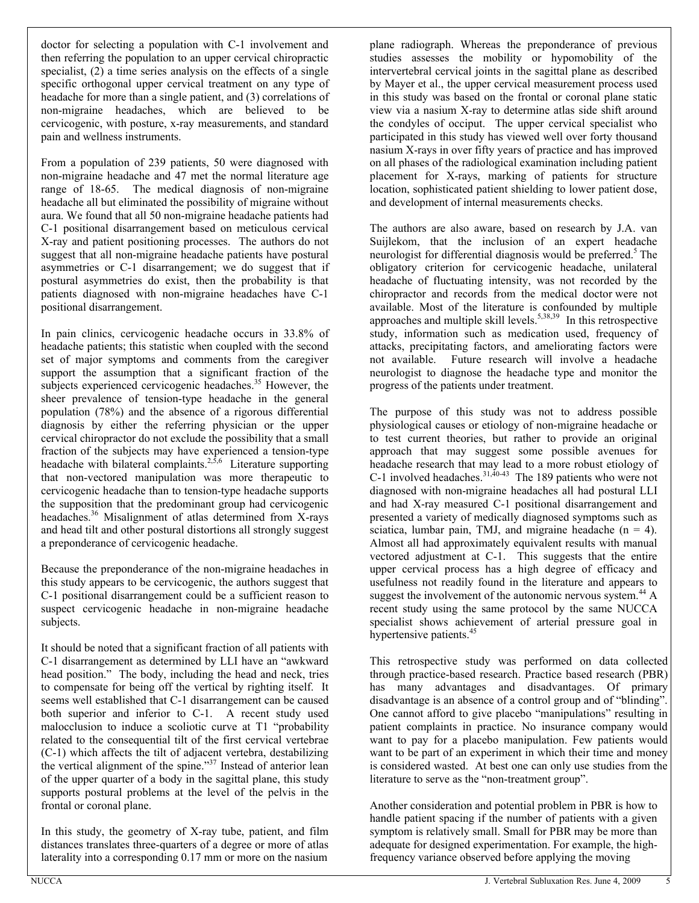doctor for selecting a population with C-1 involvement and then referring the population to an upper cervical chiropractic specialist, (2) a time series analysis on the effects of a single specific orthogonal upper cervical treatment on any type of headache for more than a single patient, and (3) correlations of non-migraine headaches, which are believed to be cervicogenic, with posture, x-ray measurements, and standard pain and wellness instruments.

From a population of 239 patients, 50 were diagnosed with non-migraine headache and 47 met the normal literature age range of 18-65. The medical diagnosis of non-migraine headache all but eliminated the possibility of migraine without aura. We found that all 50 non-migraine headache patients had C-1 positional disarrangement based on meticulous cervical X-ray and patient positioning processes. The authors do not suggest that all non-migraine headache patients have postural asymmetries or C-1 disarrangement; we do suggest that if postural asymmetries do exist, then the probability is that patients diagnosed with non-migraine headaches have C-1 positional disarrangement.

In pain clinics, cervicogenic headache occurs in 33.8% of headache patients; this statistic when coupled with the second set of major symptoms and comments from the caregiver support the assumption that a significant fraction of the subjects experienced cervicogenic headaches.<sup>35</sup> However, the sheer prevalence of tension-type headache in the general population (78%) and the absence of a rigorous differential diagnosis by either the referring physician or the upper cervical chiropractor do not exclude the possibility that a small fraction of the subjects may have experienced a tension-type headache with bilateral complaints.<sup>2,5,6</sup> Literature supporting that non-vectored manipulation was more therapeutic to cervicogenic headache than to tension-type headache supports the supposition that the predominant group had cervicogenic headaches.<sup>36</sup> Misalignment of atlas determined from X-rays and head tilt and other postural distortions all strongly suggest a preponderance of cervicogenic headache.

Because the preponderance of the non-migraine headaches in this study appears to be cervicogenic, the authors suggest that C-1 positional disarrangement could be a sufficient reason to suspect cervicogenic headache in non-migraine headache subjects.

It should be noted that a significant fraction of all patients with C-1 disarrangement as determined by LLI have an "awkward" head position." The body, including the head and neck, tries to compensate for being off the vertical by righting itself. It seems well established that C-1 disarrangement can be caused both superior and inferior to C-1. A recent study used malocclusion to induce a scoliotic curve at T1 "probability related to the consequential tilt of the first cervical vertebrae (C-1) which affects the tilt of adjacent vertebra, destabilizing the vertical alignment of the spine."<sup>37</sup> Instead of anterior lean of the upper quarter of a body in the sagittal plane, this study supports postural problems at the level of the pelvis in the frontal or coronal plane.

In this study, the geometry of X-ray tube, patient, and film distances translates three-quarters of a degree or more of atlas laterality into a corresponding 0.17 mm or more on the nasium

plane radiograph. Whereas the preponderance of previous studies assesses the mobility or hypomobility of the intervertebral cervical joints in the sagittal plane as described by Mayer et al., the upper cervical measurement process used in this study was based on the frontal or coronal plane static view via a nasium X-ray to determine atlas side shift around the condyles of occiput. The upper cervical specialist who participated in this study has viewed well over forty thousand nasium X-rays in over fifty years of practice and has improved on all phases of the radiological examination including patient placement for X-rays, marking of patients for structure location, sophisticated patient shielding to lower patient dose, and development of internal measurements checks.

The authors are also aware, based on research by J.A. van Suijlekom, that the inclusion of an expert headache neurologist for differential diagnosis would be preferred.<sup>5</sup> The obligatory criterion for cervicogenic headache, unilateral headache of fluctuating intensity, was not recorded by the chiropractor and records from the medical doctor were not available. Most of the literature is confounded by multiple approaches and multiple skill levels.<sup>5,38,39</sup> In this retrospective study, information such as medication used, frequency of attacks, precipitating factors, and ameliorating factors were not available. Future research will involve a headache neurologist to diagnose the headache type and monitor the progress of the patients under treatment.

The purpose of this study was not to address possible physiological causes or etiology of non-migraine headache or to test current theories, but rather to provide an original approach that may suggest some possible avenues for headache research that may lead to a more robust etiology of C-1 involved headaches.  $31,40-43$  The 189 patients who were not diagnosed with non-migraine headaches all had postural LLI and had X-ray measured C-1 positional disarrangement and presented a variety of medically diagnosed symptoms such as sciatica, lumbar pain, TMJ, and migraine headache  $(n = 4)$ . Almost all had approximately equivalent results with manual vectored adjustment at C-1. This suggests that the entire upper cervical process has a high degree of efficacy and usefulness not readily found in the literature and appears to suggest the involvement of the autonomic nervous system.<sup>44</sup>  $\AA$ recent study using the same protocol by the same NUCCA specialist shows achievement of arterial pressure goal in hypertensive patients.<sup>45</sup>

This retrospective study was performed on data collected through practice-based research. Practice based research (PBR) has many advantages and disadvantages. Of primary disadvantage is an absence of a control group and of "blinding". One cannot afford to give placebo "manipulations" resulting in patient complaints in practice. No insurance company would want to pay for a placebo manipulation. Few patients would want to be part of an experiment in which their time and money is considered wasted. At best one can only use studies from the literature to serve as the "non-treatment group".

Another consideration and potential problem in PBR is how to handle patient spacing if the number of patients with a given symptom is relatively small. Small for PBR may be more than adequate for designed experimentation. For example, the highfrequency variance observed before applying the moving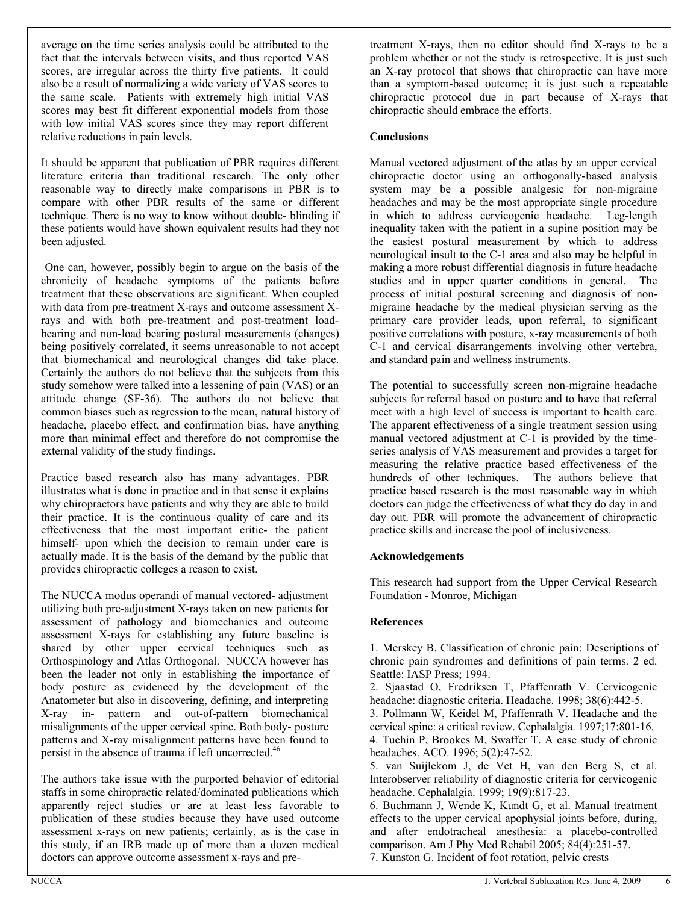average on the time series analysis could be attributed to the fact that the intervals between visits, and thus reported VAS scores, are irregular across the thirty five patients. It could also be a result of normalizing a wide variety of VAS scores to the same scale. Patients with extremely high initial VAS scores may best fit different exponential models from those with low initial VAS scores since they may report different relative reductions in pain levels.

It should be apparent that publication of PBR requires different literature criteria than traditional research. The only other reasonable way to directly make comparisons in PBR is to compare with other PBR results of the same or different technique. There is no way to know without double- blinding if these patients would have shown equivalent results had they not been adjusted.

 One can, however, possibly begin to argue on the basis of the chronicity of headache symptoms of the patients before treatment that these observations are significant. When coupled with data from pre-treatment X-rays and outcome assessment Xrays and with both pre-treatment and post-treatment loadbearing and non-load bearing postural measurements (changes) being positively correlated, it seems unreasonable to not accept that biomechanical and neurological changes did take place. Certainly the authors do not believe that the subjects from this study somehow were talked into a lessening of pain (VAS) or an attitude change (SF-36). The authors do not believe that common biases such as regression to the mean, natural history of headache, placebo effect, and confirmation bias, have anything more than minimal effect and therefore do not compromise the external validity of the study findings.

Practice based research also has many advantages. PBR illustrates what is done in practice and in that sense it explains why chiropractors have patients and why they are able to build their practice. It is the continuous quality of care and its effectiveness that the most important critic- the patient himself- upon which the decision to remain under care is actually made. It is the basis of the demand by the public that provides chiropractic colleges a reason to exist.

The NUCCA modus operandi of manual vectored- adjustment utilizing both pre-adjustment X-rays taken on new patients for assessment of pathology and biomechanics and outcome assessment X-rays for establishing any future baseline is shared by other upper cervical techniques such as Orthospinology and Atlas Orthogonal. NUCCA however has been the leader not only in establishing the importance of body posture as evidenced by the development of the Anatometer but also in discovering, defining, and interpreting X-ray in- pattern and out-of-pattern biomechanical misalignments of the upper cervical spine. Both body- posture patterns and X-ray misalignment patterns have been found to persist in the absence of trauma if left uncorrected.<sup>46</sup>

The authors take issue with the purported behavior of editorial staffs in some chiropractic related/dominated publications which apparently reject studies or are at least less favorable to publication of these studies because they have used outcome assessment x-rays on new patients; certainly, as is the case in this study, if an IRB made up of more than a dozen medical doctors can approve outcome assessment x-rays and pre-

treatment X-rays, then no editor should find X-rays to be a problem whether or not the study is retrospective. It is just such an X-ray protocol that shows that chiropractic can have more than a symptom-based outcome; it is just such a repeatable chiropractic protocol due in part because of X-rays that chiropractic should embrace the efforts.

#### **Conclusions**

Manual vectored adjustment of the atlas by an upper cervical chiropractic doctor using an orthogonally-based analysis system may be a possible analgesic for non-migraine headaches and may be the most appropriate single procedure in which to address cervicogenic headache. Leg-length inequality taken with the patient in a supine position may be the easiest postural measurement by which to address neurological insult to the C-1 area and also may be helpful in making a more robust differential diagnosis in future headache studies and in upper quarter conditions in general. The process of initial postural screening and diagnosis of nonmigraine headache by the medical physician serving as the primary care provider leads, upon referral, to significant positive correlations with posture, x-ray measurements of both C-1 and cervical disarrangements involving other vertebra, and standard pain and wellness instruments.

The potential to successfully screen non-migraine headache subjects for referral based on posture and to have that referral meet with a high level of success is important to health care. The apparent effectiveness of a single treatment session using manual vectored adjustment at C-1 is provided by the timeseries analysis of VAS measurement and provides a target for measuring the relative practice based effectiveness of the hundreds of other techniques. The authors believe that practice based research is the most reasonable way in which doctors can judge the effectiveness of what they do day in and day out. PBR will promote the advancement of chiropractic practice skills and increase the pool of inclusiveness.

#### **Acknowledgements**

This research had support from the Upper Cervical Research Foundation - Monroe, Michigan

#### **References**

1. Merskey B. Classification of chronic pain: Descriptions of chronic pain syndromes and definitions of pain terms. 2 ed. Seattle: IASP Press; 1994.

2. Sjaastad O, Fredriksen T, Pfaffenrath V. Cervicogenic headache: diagnostic criteria. Headache. 1998; 38(6):442-5.

3. Pollmann W, Keidel M, Pfaffenrath V. Headache and the cervical spine: a critical review. Cephalalgia. 1997;17:801-16.

4. Tuchin P, Brookes M, Swaffer T. A case study of chronic headaches. ACO. 1996; 5(2):47-52.

5. van Suijlekom J, de Vet H, van den Berg S, et al. Interobserver reliability of diagnostic criteria for cervicogenic headache. Cephalalgia. 1999; 19(9):817-23.

6. Buchmann J, Wende K, Kundt G, et al. Manual treatment effects to the upper cervical apophysial joints before, during, and after endotracheal anesthesia: a placebo-controlled comparison. Am J Phy Med Rehabil 2005; 84(4):251-57. 7. Kunston G. Incident of foot rotation, pelvic crests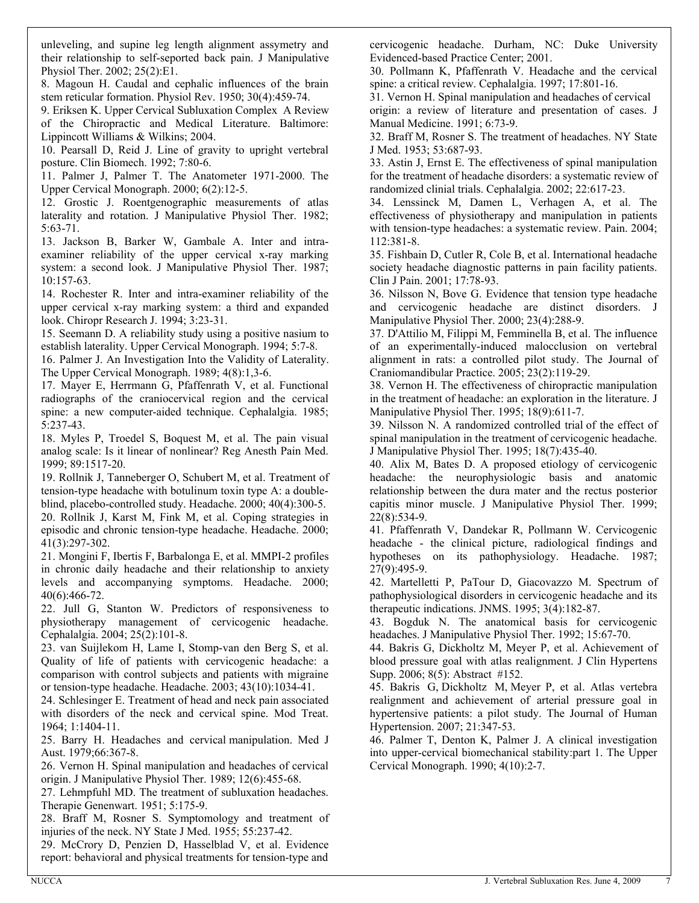unleveling, and supine leg length alignment assymetry and their relationship to self-seported back pain. J Manipulative Physiol Ther. 2002; 25(2):E1.

8. Magoun H. Caudal and cephalic influences of the brain stem reticular formation. Physiol Rev. 1950; 30(4):459-74.

9. Eriksen K. Upper Cervical Subluxation Complex A Review of the Chiropractic and Medical Literature. Baltimore: Lippincott Williams & Wilkins; 2004.

10. Pearsall D, Reid J. Line of gravity to upright vertebral posture. Clin Biomech. 1992; 7:80-6.

11. Palmer J, Palmer T. The Anatometer 1971-2000. The Upper Cervical Monograph. 2000; 6(2):12-5.

12. Grostic J. Roentgenographic measurements of atlas laterality and rotation. J Manipulative Physiol Ther. 1982; 5:63-71.

13. Jackson B, Barker W, Gambale A. Inter and intraexaminer reliability of the upper cervical x-ray marking system: a second look. J Manipulative Physiol Ther. 1987; 10:157-63.

14. Rochester R. Inter and intra-examiner reliability of the upper cervical x-ray marking system: a third and expanded look. Chiropr Research J. 1994; 3:23-31.

15. Seemann D. A reliability study using a positive nasium to establish laterality. Upper Cervical Monograph. 1994; 5:7-8.

16. Palmer J. An Investigation Into the Validity of Laterality. The Upper Cervical Monograph. 1989; 4(8):1,3-6.

17. Mayer E, Herrmann G, Pfaffenrath V, et al. Functional radiographs of the craniocervical region and the cervical spine: a new computer-aided technique. Cephalalgia. 1985; 5:237-43.

18. Myles P, Troedel S, Boquest M, et al. The pain visual analog scale: Is it linear of nonlinear? Reg Anesth Pain Med. 1999; 89:1517-20.

19. Rollnik J, Tanneberger O, Schubert M, et al. Treatment of tension-type headache with botulinum toxin type A: a doubleblind, placebo-controlled study. Headache. 2000; 40(4):300-5.

20. Rollnik J, Karst M, Fink M, et al. Coping strategies in episodic and chronic tension-type headache. Headache. 2000; 41(3):297-302.

21. Mongini F, Ibertis F, Barbalonga E, et al. MMPI-2 profiles in chronic daily headache and their relationship to anxiety levels and accompanying symptoms. Headache. 2000; 40(6):466-72.

22. Jull G, Stanton W. Predictors of responsiveness to physiotherapy management of cervicogenic headache. Cephalalgia. 2004; 25(2):101-8.

23. van Suijlekom H, Lame I, Stomp-van den Berg S, et al. Quality of life of patients with cervicogenic headache: a comparison with control subjects and patients with migraine or tension-type headache. Headache. 2003; 43(10):1034-41.

24. Schlesinger E. Treatment of head and neck pain associated with disorders of the neck and cervical spine. Mod Treat. 1964; 1:1404-11.

25. Barry H. Headaches and cervical manipulation. Med J Aust. 1979;66:367-8.

26. Vernon H. Spinal manipulation and headaches of cervical origin. J Manipulative Physiol Ther. 1989; 12(6):455-68.

27. Lehmpfuhl MD. The treatment of subluxation headaches. Therapie Genenwart. 1951; 5:175-9.

28. Braff M, Rosner S. Symptomology and treatment of injuries of the neck. NY State J Med. 1955; 55:237-42.

29. McCrory D, Penzien D, Hasselblad V, et al. Evidence report: behavioral and physical treatments for tension-type and

cervicogenic headache. Durham, NC: Duke University Evidenced-based Practice Center; 2001.

30. Pollmann K, Pfaffenrath V. Headache and the cervical spine: a critical review. Cephalalgia. 1997; 17:801-16.

31. Vernon H. Spinal manipulation and headaches of cervical origin: a review of literature and presentation of cases. J Manual Medicine. 1991; 6:73-9.

32. Braff M, Rosner S. The treatment of headaches. NY State J Med. 1953; 53:687-93.

33. Astin J, Ernst E. The effectiveness of spinal manipulation for the treatment of headache disorders: a systematic review of randomized clinial trials. Cephalalgia. 2002; 22:617-23.

34. Lenssinck M, Damen L, Verhagen A, et al. The effectiveness of physiotherapy and manipulation in patients with tension-type headaches: a systematic review. Pain. 2004; 112:381-8.

35. Fishbain D, Cutler R, Cole B, et al. International headache society headache diagnostic patterns in pain facility patients. Clin J Pain. 2001; 17:78-93.

36. Nilsson N, Bove G. Evidence that tension type headache and cervicogenic headache are distinct disorders. J Manipulative Physiol Ther. 2000; 23(4):288-9.

37. D'Attilio M, Filippi M, Femminella B, et al. The influence of an experimentally-induced malocclusion on vertebral alignment in rats: a controlled pilot study. The Journal of Craniomandibular Practice. 2005; 23(2):119-29.

38. Vernon H. The effectiveness of chiropractic manipulation in the treatment of headache: an exploration in the literature. J Manipulative Physiol Ther. 1995; 18(9):611-7.

39. Nilsson N. A randomized controlled trial of the effect of spinal manipulation in the treatment of cervicogenic headache. J Manipulative Physiol Ther. 1995; 18(7):435-40.

40. Alix M, Bates D. A proposed etiology of cervicogenic headache: the neurophysiologic basis and anatomic relationship between the dura mater and the rectus posterior capitis minor muscle. J Manipulative Physiol Ther. 1999; 22(8):534-9.

41. Pfaffenrath V, Dandekar R, Pollmann W. Cervicogenic headache - the clinical picture, radiological findings and hypotheses on its pathophysiology. Headache. 1987; 27(9):495-9.

42. Martelletti P, PaTour D, Giacovazzo M. Spectrum of pathophysiological disorders in cervicogenic headache and its therapeutic indications. JNMS. 1995; 3(4):182-87.

43. Bogduk N. The anatomical basis for cervicogenic headaches. J Manipulative Physiol Ther. 1992; 15:67-70.

44. Bakris G, Dickholtz M, Meyer P, et al. Achievement of blood pressure goal with atlas realignment. J Clin Hypertens Supp. 2006; 8(5): Abstract #152.

45. Bakris G, Dickholtz M, Meyer P, et al. Atlas vertebra realignment and achievement of arterial pressure goal in hypertensive patients: a pilot study. The Journal of Human Hypertension. 2007; 21:347-53.

46. Palmer T, Denton K, Palmer J. A clinical investigation into upper-cervical biomechanical stability:part 1. The Upper Cervical Monograph. 1990; 4(10):2-7.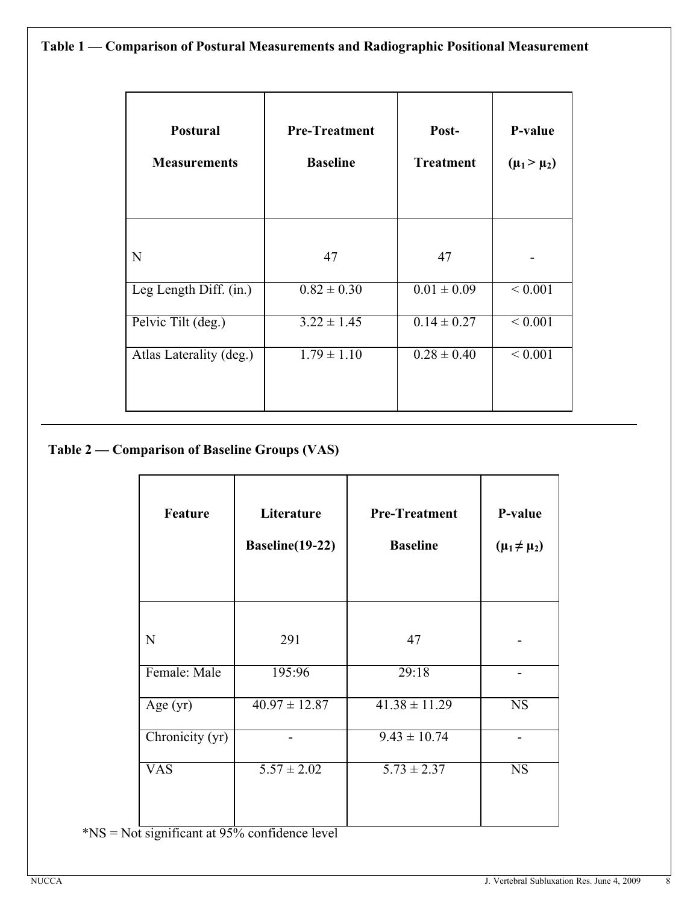# **Table 1 ² Comparison of Postural Measurements and Radiographic Positional Measurement**

| <b>Postural</b><br><b>Measurements</b> | <b>Pre-Treatment</b><br><b>Baseline</b> | Post-<br><b>Treatment</b>  | P-value<br>$(\mu_1 > \mu_2)$ |
|----------------------------------------|-----------------------------------------|----------------------------|------------------------------|
| N                                      | 47                                      | 47                         |                              |
| Leg Length Diff. (in.)                 | $0.82 \pm 0.30$                         | $\overline{0.01} \pm 0.09$ | ${}< 0.001$                  |
| Pelvic Tilt (deg.)                     | $3.22 \pm 1.45$                         | $0.14 \pm 0.27$            | ${}< 0.001$                  |
| Atlas Laterality (deg.)                | $1.79 \pm 1.10$                         | $0.28 \pm 0.40$            | ${}< 0.001$                  |

# **Table 2 ² Comparison of Baseline Groups (VAS)**

| <b>Feature</b>              | Literature<br>Baseline(19-22) | <b>Pre-Treatment</b><br><b>Baseline</b> | P-value<br>$(\mu_1 \neq \mu_2)$ |
|-----------------------------|-------------------------------|-----------------------------------------|---------------------------------|
| N                           | 291                           | 47                                      |                                 |
| Female: Male                | 195:96                        | 29:18                                   |                                 |
| Age $(yr)$                  | $40.97 \pm 12.87$             | $41.\overline{38 \pm 11.29}$            | <b>NS</b>                       |
| $\overline{Chronicity}(yr)$ |                               | $9.43 \pm 10.74$                        |                                 |
| <b>VAS</b>                  | $5.57 \pm 2.02$               | $5.73 \pm 2.37$                         | <b>NS</b>                       |

\*NS = Not significant at 95% confidence level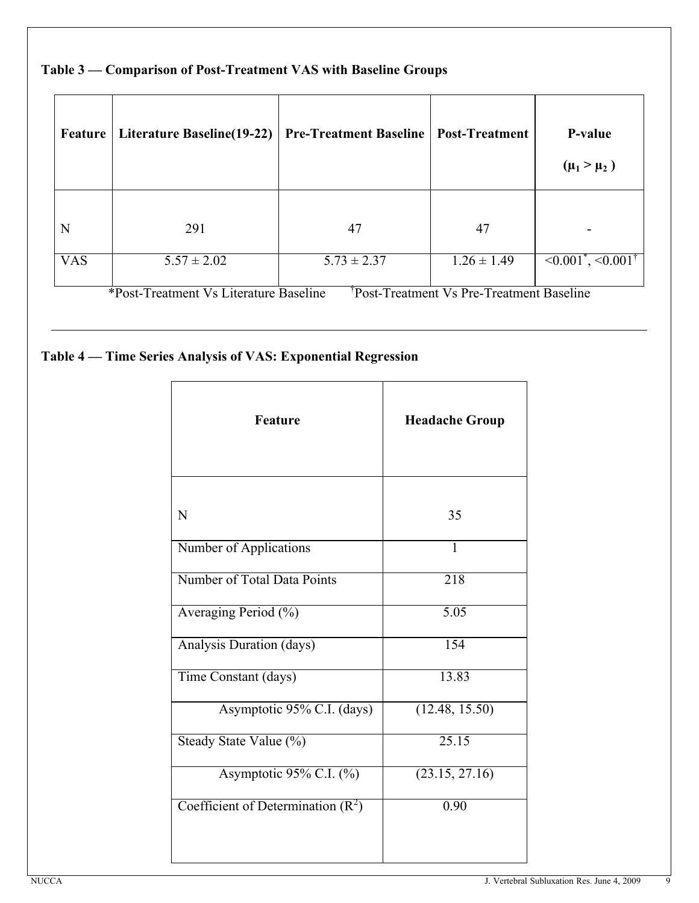| Feature    | <b>Literature Baseline(19-22)</b>                           | <b>Pre-Treatment Baseline</b>                                                                    | <b>Post-Treatment</b>                                | P-value<br>$(\mu_1 > \mu_2)$                                         |
|------------|-------------------------------------------------------------|--------------------------------------------------------------------------------------------------|------------------------------------------------------|----------------------------------------------------------------------|
| N          | 291                                                         | 47                                                                                               | 47                                                   |                                                                      |
| <b>VAS</b> | $5.57 \pm 2.02$<br>$\mathbf{A}$<br>$\overline{\phantom{a}}$ | $5.73 \pm 2.37$<br>$\frac{1}{2}$<br>$\cdot$ $\cdot$<br>$\overline{\phantom{a}}$<br>$\sim$ $\sim$ | $1.26 \pm 1.49$<br>$  -$<br>$\overline{\phantom{a}}$ | $\leq 0.001^{\ast}, \leq 0.001^{\dagger}$<br>$\sim$<br>$\sim$ $\sim$ |

# **Table 3 ² Comparison of Post-Treatment VAS with Baseline Groups**

\*Post-Treatment Vs Literature Baseline Post-Treatment Vs Pre-Treatment Baseline

# **Table 4 ² Time Series Analysis of VAS: Exponential Regression**

| <b>Feature</b>                      | <b>Headache Group</b> |  |
|-------------------------------------|-----------------------|--|
| N                                   | 35                    |  |
| Number of Applications              | 1                     |  |
| Number of Total Data Points         | 218                   |  |
| Averaging Period (%)                | $\overline{5.05}$     |  |
| Analysis Duration (days)            | 154                   |  |
| Time Constant (days)                | 13.83                 |  |
| Asymptotic 95% C.I. (days)          | (12.48, 15.50)        |  |
| Steady State Value (%)              | 25.15                 |  |
| Asymptotic 95% C.I. (%)             | (23.15, 27.16)        |  |
| Coefficient of Determination $(R2)$ | 0.90                  |  |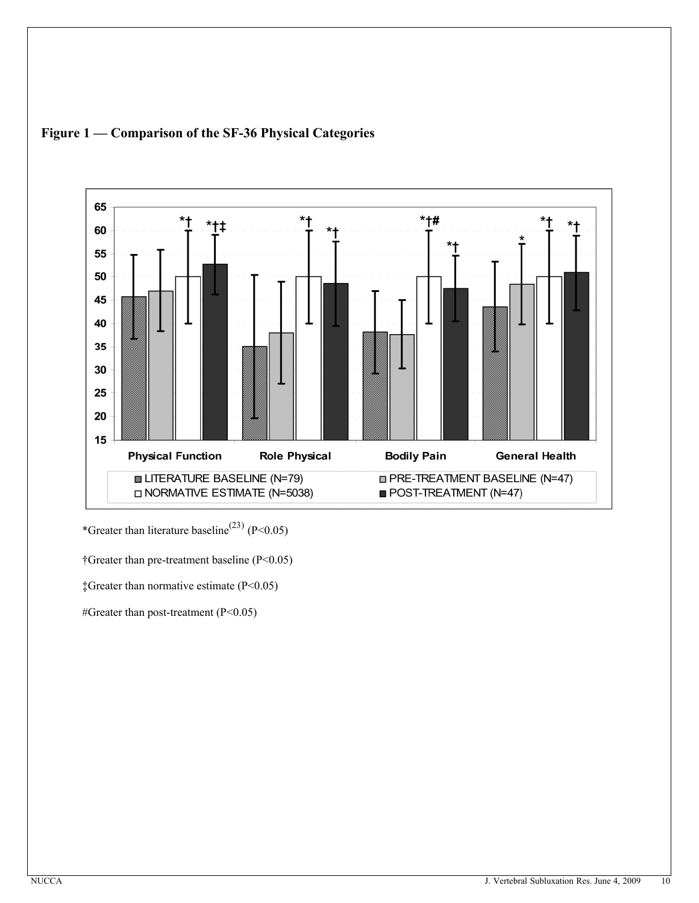

### **Figure 1 ² Comparison of the SF-36 Physical Categories**

\*Greater than literature baseline<sup>(23)</sup> (P<0.05)

Greater than pre-treatment baseline (P<0.05)

 $\text{\text{*Greatest} than normative estimate (P<0.05)}$ 

#Greater than post-treatment (P<0.05)